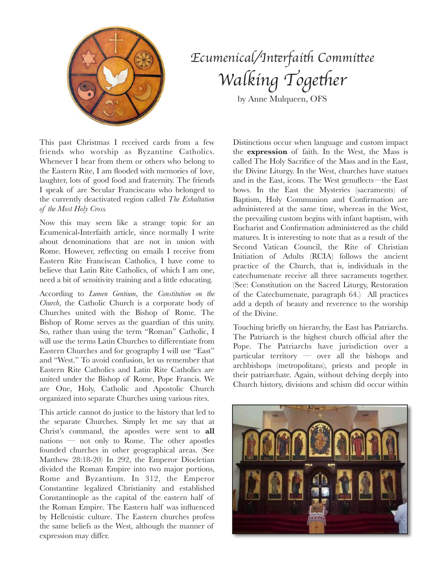

## *Ecumenical/In*t*rfai*t *Commi*t*ee Walking Together*

by Anne Mulqueen, OFS

This past Christmas I received cards from a few friends who worship as Byzantine Catholics. Whenever I hear from them or others who belong to the Eastern Rite, I am flooded with memories of love, laughter, lots of good food and fraternity. The friends I speak of are Secular Franciscans who belonged to the currently deactivated region called *The Exhaltation of the Most Holy Cross.*

Now this may seem like a strange topic for an Ecumenical-Interfaith article, since normally I write about denominations that are not in union with Rome. However, reflecting on emails I receive from Eastern Rite Franciscan Catholics, I have come to believe that Latin Rite Catholics, of which I am one, need a bit of sensitivity training and a little educating.

According to *Lumen Gentium*, the *Constitution on the Church*, the Catholic Church is a corporate body of Churches united with the Bishop of Rome. The Bishop of Rome serves as the guardian of this unity. So, rather than using the term "Roman" Catholic, I will use the terms Latin Churches to differentiate from Eastern Churches and for geography I will use "East" and "West." To avoid confusion, let us remember that Eastern Rite Catholics and Latin Rite Catholics are united under the Bishop of Rome, Pope Francis. We are One, Holy, Catholic and Apostolic Church organized into separate Churches using various rites.

This article cannot do justice to the history that led to the separate Churches. Simply let me say that at Christ's command, the apostles were sent to **all** nations — not only to Rome. The other apostles founded churches in other geographical areas. (See Matthew 28:18-20) In 292, the Emperor Diocletian divided the Roman Empire into two major portions, Rome and Byzantium. In 312, the Emperor Constantine legalized Christianity and established Constantinople as the capital of the eastern half of the Roman Empire. The Eastern half was influenced by Hellenistic culture. The Eastern churches profess the same beliefs as the West, although the manner of expression may differ.

Distinctions occur when language and custom impact the **expression** of faith. In the West, the Mass is called The Holy Sacrifice of the Mass and in the East, the Divine Liturgy. In the West, churches have statues and in the East, icons. The West genuflects—the East bows. In the East the Mysteries (sacraments) of Baptism, Holy Communion and Confirmation are administered at the same time, whereas in the West, the prevailing custom begins with infant baptism, with Eucharist and Confirmation administered as the child matures. It is interesting to note that as a result of the Second Vatican Council, the Rite of Christian Initiation of Adults (RCIA) follows the ancient practice of the Church, that is, individuals in the catechumenate receive all three sacraments together. (See: Constitution on the Sacred Liturgy, Restoration of the Catechumenate, paragraph 64.) All practices add a depth of beauty and reverence to the worship of the Divine.

Touching briefly on hierarchy, the East has Patriarchs. The Patriarch is the highest church official after the Pope. The Patriarchs have jurisdiction over a particular territory — over all the bishops and archbishops (metropolitans), priests and people in their patriarchate. Again, without delving deeply into Church history, divisions and schism did occur within